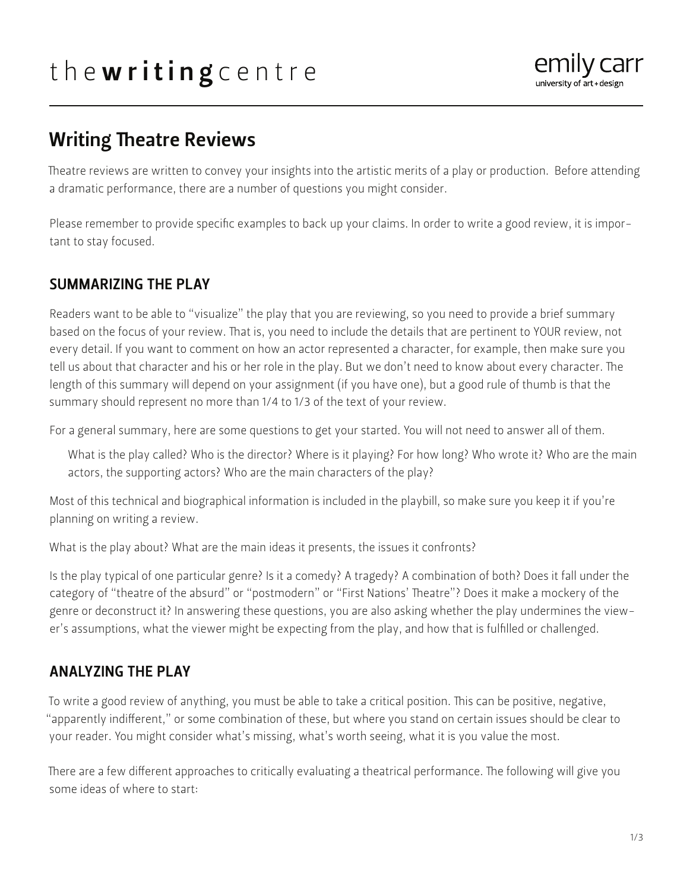# the writing centre



# Writing Theatre Reviews

Theatre reviews are written to convey your insights into the artistic merits of a play or production. Before attending a dramatic performance, there are a number of questions you might consider.

Please remember to provide specific examples to back up your claims. In order to write a good review, it is important to stay focused.

# SUMMARIZING THE PLAY

Readers want to be able to "visualize" the play that you are reviewing, so you need to provide a brief summary based on the focus of your review. That is, you need to include the details that are pertinent to YOUR review, not every detail. If you want to comment on how an actor represented a character, for example, then make sure you tell us about that character and his or her role in the play. But we don't need to know about every character. The length of this summary will depend on your assignment (if you have one), but a good rule of thumb is that the summary should represent no more than 1/4 to 1/3 of the text of your review.

For a general summary, here are some questions to get your started. You will not need to answer all of them.

What is the play called? Who is the director? Where is it playing? For how long? Who wrote it? Who are the main actors, the supporting actors? Who are the main characters of the play?

Most of this technical and biographical information is included in the playbill, so make sure you keep it if you're planning on writing a review.

What is the play about? What are the main ideas it presents, the issues it confronts?

Is the play typical of one particular genre? Is it a comedy? A tragedy? A combination of both? Does it fall under the category of "theatre of the absurd" or "postmodern" or "First Nations' Theatre"? Does it make a mockery of the genre or deconstruct it? In answering these questions, you are also asking whether the play undermines the viewer's assumptions, what the viewer might be expecting from the play, and how that is fulfilled or challenged.

# ANALYZING THE PLAY

To write a good review of anything, you must be able to take a critical position. This can be positive, negative, "apparently indifferent," or some combination of these, but where you stand on certain issues should be clear to your reader. You might consider what's missing, what's worth seeing, what it is you value the most.

There are a few different approaches to critically evaluating a theatrical performance. The following will give you some ideas of where to start: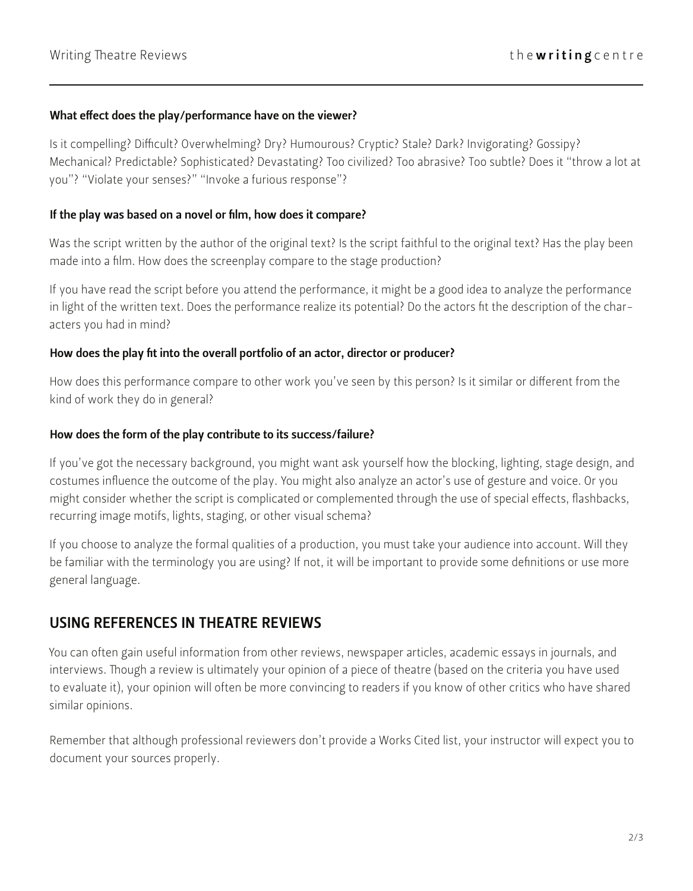#### What effect does the play/performance have on the viewer?

Is it compelling? Difficult? Overwhelming? Dry? Humourous? Cryptic? Stale? Dark? Invigorating? Gossipy? Mechanical? Predictable? Sophisticated? Devastating? Too civilized? Too abrasive? Too subtle? Does it "throw a lot at you"? "Violate your senses?" "Invoke a furious response"?

#### If the play was based on a novel or film, how does it compare?

Was the script written by the author of the original text? Is the script faithful to the original text? Has the play been made into a film. How does the screenplay compare to the stage production?

If you have read the script before you attend the performance, it might be a good idea to analyze the performance in light of the written text. Does the performance realize its potential? Do the actors fit the description of the characters you had in mind?

#### How does the play fit into the overall portfolio of an actor, director or producer?

How does this performance compare to other work you've seen by this person? Is it similar or different from the kind of work they do in general?

#### How does the form of the play contribute to its success/failure?

If you've got the necessary background, you might want ask yourself how the blocking, lighting, stage design, and costumes influence the outcome of the play. You might also analyze an actor's use of gesture and voice. Or you might consider whether the script is complicated or complemented through the use of special effects, flashbacks, recurring image motifs, lights, staging, or other visual schema?

If you choose to analyze the formal qualities of a production, you must take your audience into account. Will they be familiar with the terminology you are using? If not, it will be important to provide some definitions or use more general language.

### USING REFERENCES IN THEATRE REVIEWS

You can often gain useful information from other reviews, newspaper articles, academic essays in journals, and interviews. Though a review is ultimately your opinion of a piece of theatre (based on the criteria you have used to evaluate it), your opinion will often be more convincing to readers if you know of other critics who have shared similar opinions.

Remember that although professional reviewers don't provide a Works Cited list, your instructor will expect you to document your sources properly.